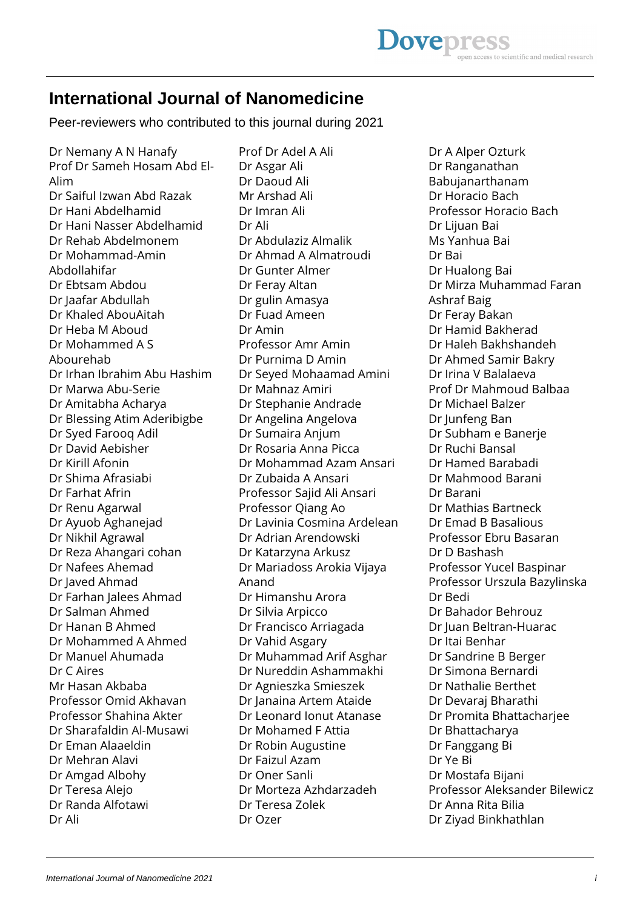# **International Journal of Nanomedicine**

Peer-reviewers who contributed to this journal during 2021

Dr Nemany A N Hanafy Prof Dr Sameh Hosam Abd El-Alim Dr Saiful Izwan Abd Razak Dr Hani Abdelhamid Dr Hani Nasser Abdelhamid Dr Rehab Abdelmonem Dr Mohammad-Amin Abdollahifar Dr Ebtsam Abdou Dr Jaafar Abdullah Dr Khaled AbouAitah Dr Heba M Aboud Dr Mohammed A S Abourehab Dr Irhan Ibrahim Abu Hashim Dr Marwa Abu-Serie Dr Amitabha Acharya Dr Blessing Atim Aderibigbe Dr Syed Farooq Adil Dr David Aebisher Dr Kirill Afonin Dr Shima Afrasiabi Dr Farhat Afrin Dr Renu Agarwal Dr Ayuob Aghanejad Dr Nikhil Agrawal Dr Reza Ahangari cohan Dr Nafees Ahemad Dr Javed Ahmad Dr Farhan Jalees Ahmad Dr Salman Ahmed Dr Hanan B Ahmed Dr Mohammed A Ahmed Dr Manuel Ahumada Dr C Aires Mr Hasan Akbaba Professor Omid Akhavan Professor Shahina Akter Dr Sharafaldin Al-Musawi Dr Eman Alaaeldin Dr Mehran Alavi Dr Amgad Albohy Dr Teresa Alejo Dr Randa Alfotawi Dr Ali

Prof Dr Adel A Ali Dr Asgar Ali Dr Daoud Ali Mr Arshad Ali Dr Imran Ali Dr Ali Dr Abdulaziz Almalik Dr Ahmad A Almatroudi Dr Gunter Almer Dr Feray Altan Dr gulin Amasya Dr Fuad Ameen Dr Amin Professor Amr Amin Dr Purnima D Amin Dr Seyed Mohaamad Amini Dr Mahnaz Amiri Dr Stephanie Andrade Dr Angelina Angelova Dr Sumaira Anjum Dr Rosaria Anna Picca Dr Mohammad Azam Ansari Dr Zubaida A Ansari Professor Sajid Ali Ansari Professor Qiang Ao Dr Lavinia Cosmina Ardelean Dr Adrian Arendowski Dr Katarzyna Arkusz Dr Mariadoss Arokia Vijaya Anand Dr Himanshu Arora Dr Silvia Arpicco Dr Francisco Arriagada Dr Vahid Asgary Dr Muhammad Arif Asghar Dr Nureddin Ashammakhi Dr Agnieszka Smieszek Dr Janaina Artem Ataide Dr Leonard Ionut Atanase Dr Mohamed F Attia Dr Robin Augustine Dr Faizul Azam Dr Oner Sanli Dr Morteza Azhdarzadeh Dr Teresa Zolek Dr Ozer

Dr A Alper Ozturk Dr Ranganathan Babujanarthanam Dr Horacio Bach Professor Horacio Bach Dr Lijuan Bai Ms Yanhua Bai Dr Bai Dr Hualong Bai Dr Mirza Muhammad Faran Ashraf Baig Dr Feray Bakan Dr Hamid Bakherad Dr Haleh Bakhshandeh Dr Ahmed Samir Bakry Dr Irina V Balalaeva Prof Dr Mahmoud Balbaa Dr Michael Balzer Dr Junfeng Ban Dr Subham e Banerje Dr Ruchi Bansal Dr Hamed Barabadi Dr Mahmood Barani Dr Barani Dr Mathias Bartneck Dr Emad B Basalious Professor Ebru Basaran Dr D Bashash Professor Yucel Baspinar Professor Urszula Bazylinska Dr Bedi Dr Bahador Behrouz Dr Juan Beltran-Huarac Dr Itai Benhar Dr Sandrine B Berger Dr Simona Bernardi Dr Nathalie Berthet Dr Devaraj Bharathi Dr Promita Bhattacharjee Dr Bhattacharya Dr Fanggang Bi Dr Ye Bi Dr Mostafa Bijani Professor Aleksander Bilewicz Dr Anna Rita Bilia Dr Ziyad Binkhathlan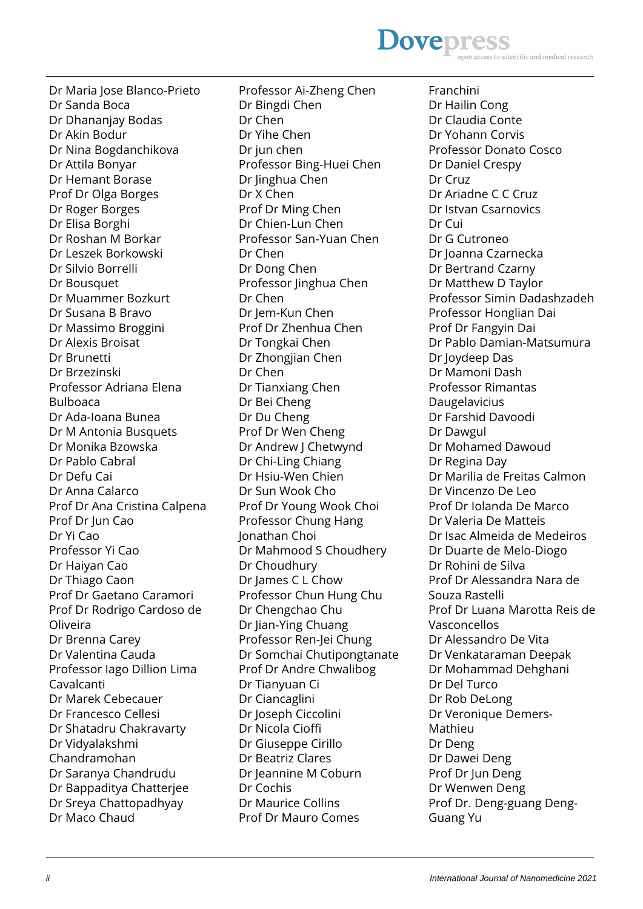### **Dovepress** ss to scientific and medical research

Dr Maria Jose Blanco-Prieto Dr Sanda Boca Dr Dhananjay Bodas Dr Akin Bodur Dr Nina Bogdanchikova Dr Attila Bonyar Dr Hemant Borase Prof Dr Olga Borges Dr Roger Borges Dr Elisa Borghi Dr Roshan M Borkar Dr Leszek Borkowski Dr Silvio Borrelli Dr Bousquet Dr Muammer Bozkurt Dr Susana B Bravo Dr Massimo Broggini Dr Alexis Broisat Dr Brunetti Dr Brzezinski Professor Adriana Elena Bulboaca Dr Ada-Ioana Bunea Dr M Antonia Busquets Dr Monika Bzowska Dr Pablo Cabral Dr Defu Cai Dr Anna Calarco Prof Dr Ana Cristina Calpena Prof Dr Jun Cao Dr Yi Cao Professor Yi Cao Dr Haiyan Cao Dr Thiago Caon Prof Dr Gaetano Caramori Prof Dr Rodrigo Cardoso de Oliveira Dr Brenna Carey Dr Valentina Cauda Professor Iago Dillion Lima Cavalcanti Dr Marek Cebecauer Dr Francesco Cellesi Dr Shatadru Chakravarty Dr Vidyalakshmi Chandramohan Dr Saranya Chandrudu Dr Bappaditya Chatterjee Dr Sreya Chattopadhyay Dr Maco Chaud

Professor Ai-Zheng Chen Dr Bingdi Chen Dr Chen Dr Yihe Chen Dr jun chen Professor Bing-Huei Chen Dr Jinghua Chen Dr X Chen Prof Dr Ming Chen Dr Chien-Lun Chen Professor San-Yuan Chen Dr Chen Dr Dong Chen Professor Jinghua Chen Dr Chen Dr Jem-Kun Chen Prof Dr Zhenhua Chen Dr Tongkai Chen Dr Zhongjian Chen Dr Chen Dr Tianxiang Chen Dr Bei Cheng Dr Du Cheng Prof Dr Wen Cheng Dr Andrew J Chetwynd Dr Chi-Ling Chiang Dr Hsiu-Wen Chien Dr Sun Wook Cho Prof Dr Young Wook Choi Professor Chung Hang Jonathan Choi Dr Mahmood S Choudhery Dr Choudhury Dr James C L Chow Professor Chun Hung Chu Dr Chengchao Chu Dr Jian-Ying Chuang Professor Ren-Jei Chung Dr Somchai Chutipongtanate Prof Dr Andre Chwalibog Dr Tianyuan Ci Dr Ciancaglini Dr Joseph Ciccolini Dr Nicola Cioffi Dr Giuseppe Cirillo Dr Beatriz Clares Dr Jeannine M Coburn Dr Cochis Dr Maurice Collins Prof Dr Mauro Comes

Franchini Dr Hailin Cong Dr Claudia Conte Dr Yohann Corvis Professor Donato Cosco Dr Daniel Crespy Dr Cruz Dr Ariadne C C Cruz Dr Istvan Csarnovics Dr Cui Dr G Cutroneo Dr Joanna Czarnecka Dr Bertrand Czarny Dr Matthew D Taylor Professor Simin Dadashzadeh Professor Honglian Dai Prof Dr Fangyin Dai Dr Pablo Damian-Matsumura Dr Joydeep Das Dr Mamoni Dash Professor Rimantas Daugelavicius Dr Farshid Davoodi Dr Dawgul Dr Mohamed Dawoud Dr Regina Day Dr Marilia de Freitas Calmon Dr Vincenzo De Leo Prof Dr Iolanda De Marco Dr Valeria De Matteis Dr Isac Almeida de Medeiros Dr Duarte de Melo-Diogo Dr Rohini de Silva Prof Dr Alessandra Nara de Souza Rastelli Prof Dr Luana Marotta Reis de Vasconcellos Dr Alessandro De Vita Dr Venkataraman Deepak Dr Mohammad Dehghani Dr Del Turco Dr Rob DeLong Dr Veronique Demers-Mathieu Dr Deng Dr Dawei Deng Prof Dr Jun Deng Dr Wenwen Deng Prof Dr. Deng-guang Deng-Guang Yu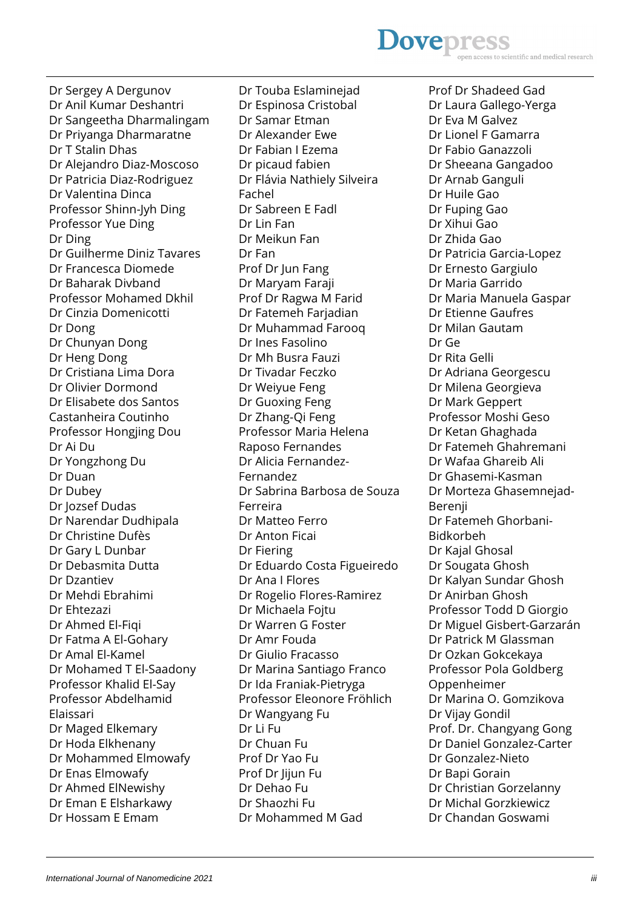# **Dovepres** ientific and medical research

Dr Sergey A Dergunov Dr Anil Kumar Deshantri Dr Sangeetha Dharmalingam Dr Priyanga Dharmaratne Dr T Stalin Dhas Dr Alejandro Diaz-Moscoso Dr Patricia Diaz-Rodriguez Dr Valentina Dinca Professor Shinn-Jyh Ding Professor Yue Ding Dr Ding Dr Guilherme Diniz Tavares Dr Francesca Diomede Dr Baharak Divband Professor Mohamed Dkhil Dr Cinzia Domenicotti Dr Dong Dr Chunyan Dong Dr Heng Dong Dr Cristiana Lima Dora Dr Olivier Dormond Dr Elisabete dos Santos Castanheira Coutinho Professor Hongjing Dou Dr Ai Du Dr Yongzhong Du Dr Duan Dr Dubey Dr Jozsef Dudas Dr Narendar Dudhipala Dr Christine Dufès Dr Gary L Dunbar Dr Debasmita Dutta Dr Dzantiev Dr Mehdi Ebrahimi Dr Ehtezazi Dr Ahmed El-Fiqi Dr Fatma A El-Gohary Dr Amal El-Kamel Dr Mohamed T El-Saadony Professor Khalid El-Say Professor Abdelhamid Elaissari Dr Maged Elkemary Dr Hoda Elkhenany Dr Mohammed Elmowafy Dr Enas Elmowafy Dr Ahmed ElNewishy Dr Eman E Elsharkawy Dr Hossam E Emam

Dr Touba Eslaminejad Dr Espinosa Cristobal Dr Samar Etman Dr Alexander Ewe Dr Fabian I Ezema Dr picaud fabien Dr Flávia Nathiely Silveira Fachel Dr Sabreen E Fadl Dr Lin Fan Dr Meikun Fan Dr Fan Prof Dr Jun Fang Dr Maryam Faraji Prof Dr Ragwa M Farid Dr Fatemeh Farjadian Dr Muhammad Farooq Dr Ines Fasolino Dr Mh Busra Fauzi Dr Tivadar Feczko Dr Weiyue Feng Dr Guoxing Feng Dr Zhang-Qi Feng Professor Maria Helena Raposo Fernandes Dr Alicia Fernandez-Fernandez Dr Sabrina Barbosa de Souza Ferreira Dr Matteo Ferro Dr Anton Ficai Dr Fiering Dr Eduardo Costa Figueiredo Dr Ana I Flores Dr Rogelio Flores-Ramirez Dr Michaela Fojtu Dr Warren G Foster Dr Amr Fouda Dr Giulio Fracasso Dr Marina Santiago Franco Dr Ida Franiak-Pietryga Professor Eleonore Fröhlich Dr Wangyang Fu Dr Li Fu Dr Chuan Fu Prof Dr Yao Fu Prof Dr Jijun Fu Dr Dehao Fu Dr Shaozhi Fu Dr Mohammed M Gad

Prof Dr Shadeed Gad Dr Laura Gallego-Yerga Dr Eva M Galvez Dr Lionel F Gamarra Dr Fabio Ganazzoli Dr Sheeana Gangadoo Dr Arnab Ganguli Dr Huile Gao Dr Fuping Gao Dr Xihui Gao Dr Zhida Gao Dr Patricia Garcia-Lopez Dr Ernesto Gargiulo Dr Maria Garrido Dr Maria Manuela Gaspar Dr Etienne Gaufres Dr Milan Gautam Dr Ge Dr Rita Gelli Dr Adriana Georgescu Dr Milena Georgieva Dr Mark Geppert Professor Moshi Geso Dr Ketan Ghaghada Dr Fatemeh Ghahremani Dr Wafaa Ghareib Ali Dr Ghasemi-Kasman Dr Morteza Ghasemnejad-Berenji Dr Fatemeh Ghorbani-Bidkorbeh Dr Kajal Ghosal Dr Sougata Ghosh Dr Kalyan Sundar Ghosh Dr Anirban Ghosh Professor Todd D Giorgio Dr Miguel Gisbert-Garzarán Dr Patrick M Glassman Dr Ozkan Gokcekaya Professor Pola Goldberg Oppenheimer Dr Marina O. Gomzikova Dr Vijay Gondil Prof. Dr. Changyang Gong Dr Daniel Gonzalez-Carter Dr Gonzalez-Nieto Dr Bapi Gorain Dr Christian Gorzelanny Dr Michal Gorzkiewicz Dr Chandan Goswami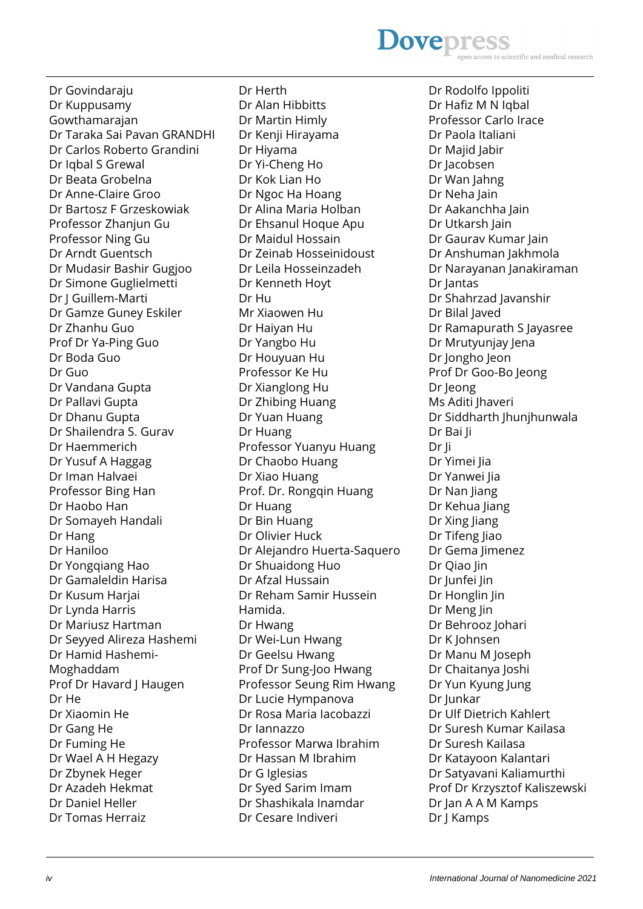#### **Dovepres** scientific and medical research

Dr Govindaraju Dr Kuppusamy Gowthamarajan Dr Taraka Sai Pavan GRANDHI Dr Carlos Roberto Grandini Dr Iqbal S Grewal Dr Beata Grobelna Dr Anne-Claire Groo Dr Bartosz F Grzeskowiak Professor Zhanjun Gu Professor Ning Gu Dr Arndt Guentsch Dr Mudasir Bashir Gugjoo Dr Simone Guglielmetti Dr J Guillem-Marti Dr Gamze Guney Eskiler Dr Zhanhu Guo Prof Dr Ya-Ping Guo Dr Boda Guo Dr Guo Dr Vandana Gupta Dr Pallavi Gupta Dr Dhanu Gupta Dr Shailendra S. Gurav Dr Haemmerich Dr Yusuf A Haggag Dr Iman Halvaei Professor Bing Han Dr Haobo Han Dr Somayeh Handali Dr Hang Dr Haniloo Dr Yongqiang Hao Dr Gamaleldin Harisa Dr Kusum Harjai Dr Lynda Harris Dr Mariusz Hartman Dr Seyyed Alireza Hashemi Dr Hamid Hashemi-Moghaddam Prof Dr Havard J Haugen Dr He Dr Xiaomin He Dr Gang He Dr Fuming He Dr Wael A H Hegazy Dr Zbynek Heger Dr Azadeh Hekmat Dr Daniel Heller Dr Tomas Herraiz

Dr Herth Dr Alan Hibbitts Dr Martin Himly Dr Kenji Hirayama Dr Hiyama Dr Yi-Cheng Ho Dr Kok Lian Ho Dr Ngoc Ha Hoang Dr Alina Maria Holban Dr Ehsanul Hoque Apu Dr Maidul Hossain Dr Zeinab Hosseinidoust Dr Leila Hosseinzadeh Dr Kenneth Hoyt Dr Hu Mr Xiaowen Hu Dr Haiyan Hu Dr Yangbo Hu Dr Houyuan Hu Professor Ke Hu Dr Xianglong Hu Dr Zhibing Huang Dr Yuan Huang Dr Huang Professor Yuanyu Huang Dr Chaobo Huang Dr Xiao Huang Prof. Dr. Rongqin Huang Dr Huang Dr Bin Huang Dr Olivier Huck Dr Alejandro Huerta-Saquero Dr Shuaidong Huo Dr Afzal Hussain Dr Reham Samir Hussein Hamida. Dr Hwang Dr Wei-Lun Hwang Dr Geelsu Hwang Prof Dr Sung-Joo Hwang Professor Seung Rim Hwang Dr Lucie Hympanova Dr Rosa Maria Iacobazzi Dr Iannazzo Professor Marwa Ibrahim Dr Hassan M Ibrahim Dr G Iglesias Dr Syed Sarim Imam Dr Shashikala Inamdar Dr Cesare Indiveri

Dr Rodolfo Ippoliti Dr Hafiz M N Iqbal Professor Carlo Irace Dr Paola Italiani Dr Majid Jabir Dr Jacobsen Dr Wan Jahng Dr Neha Jain Dr Aakanchha Jain Dr Utkarsh Jain Dr Gaurav Kumar Jain Dr Anshuman Jakhmola Dr Narayanan Janakiraman Dr Jantas Dr Shahrzad Javanshir Dr Bilal Javed Dr Ramapurath S Jayasree Dr Mrutyunjay Jena Dr Jongho Jeon Prof Dr Goo-Bo Jeong Dr Jeong Ms Aditi Jhaveri Dr Siddharth Jhunjhunwala Dr Bai Ji Dr Ji Dr Yimei Jia Dr Yanwei Jia Dr Nan liang Dr Kehua Jiang Dr Xing Jiang Dr Tifeng Jiao Dr Gema Jimenez Dr Qiao Jin Dr Junfei Jin Dr Honglin Jin Dr Meng Jin Dr Behrooz Johari Dr K Johnsen Dr Manu M Joseph Dr Chaitanya Joshi Dr Yun Kyung Jung Dr Junkar Dr Ulf Dietrich Kahlert Dr Suresh Kumar Kailasa Dr Suresh Kailasa Dr Katayoon Kalantari Dr Satyavani Kaliamurthi Prof Dr Krzysztof Kaliszewski Dr Jan A A M Kamps Dr J Kamps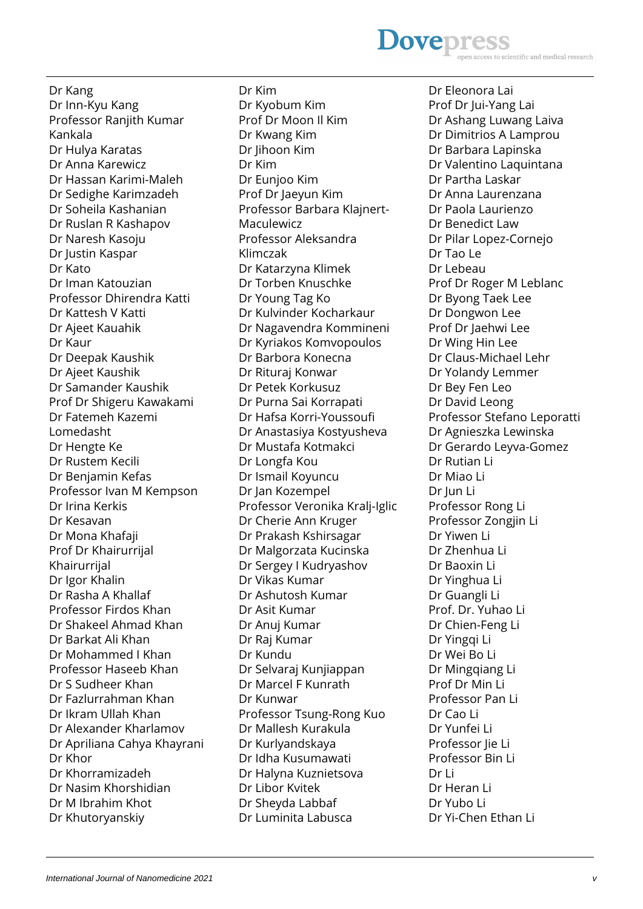#### **Dovepress** scientific and medical research

Dr Kang Dr Inn-Kyu Kang Professor Ranjith Kumar Kankala Dr Hulya Karatas Dr Anna Karewicz Dr Hassan Karimi-Maleh Dr Sedighe Karimzadeh Dr Soheila Kashanian Dr Ruslan R Kashapov Dr Naresh Kasoju Dr Justin Kaspar Dr Kato Dr Iman Katouzian Professor Dhirendra Katti Dr Kattesh V Katti Dr Ajeet Kauahik Dr Kaur Dr Deepak Kaushik Dr Ajeet Kaushik Dr Samander Kaushik Prof Dr Shigeru Kawakami Dr Fatemeh Kazemi Lomedasht Dr Hengte Ke Dr Rustem Kecili Dr Benjamin Kefas Professor Ivan M Kempson Dr Irina Kerkis Dr Kesavan Dr Mona Khafaji Prof Dr Khairurrijal Khairurrijal Dr Igor Khalin Dr Rasha A Khallaf Professor Firdos Khan Dr Shakeel Ahmad Khan Dr Barkat Ali Khan Dr Mohammed I Khan Professor Haseeb Khan Dr S Sudheer Khan Dr Fazlurrahman Khan Dr Ikram Ullah Khan Dr Alexander Kharlamov Dr Apriliana Cahya Khayrani Dr Khor Dr Khorramizadeh Dr Nasim Khorshidian Dr M Ibrahim Khot Dr Khutoryanskiy

Dr Kim Dr Kyobum Kim Prof Dr Moon Il Kim Dr Kwang Kim Dr Jihoon Kim Dr Kim Dr Eunjoo Kim Prof Dr Jaeyun Kim Professor Barbara Klajnert-Maculewicz Professor Aleksandra Klimczak Dr Katarzyna Klimek Dr Torben Knuschke Dr Young Tag Ko Dr Kulvinder Kocharkaur Dr Nagavendra Kommineni Dr Kyriakos Komvopoulos Dr Barbora Konecna Dr Rituraj Konwar Dr Petek Korkusuz Dr Purna Sai Korrapati Dr Hafsa Korri-Youssoufi Dr Anastasiya Kostyusheva Dr Mustafa Kotmakci Dr Longfa Kou Dr Ismail Koyuncu Dr Jan Kozempel Professor Veronika Kralj-Iglic Dr Cherie Ann Kruger Dr Prakash Kshirsagar Dr Malgorzata Kucinska Dr Sergey I Kudryashov Dr Vikas Kumar Dr Ashutosh Kumar Dr Asit Kumar Dr Anuj Kumar Dr Raj Kumar Dr Kundu Dr Selvaraj Kunjiappan Dr Marcel F Kunrath Dr Kunwar Professor Tsung-Rong Kuo Dr Mallesh Kurakula Dr Kurlyandskaya Dr Idha Kusumawati Dr Halyna Kuznietsova Dr Libor Kvitek Dr Sheyda Labbaf Dr Luminita Labusca

Dr Eleonora Lai Prof Dr Jui-Yang Lai Dr Ashang Luwang Laiva Dr Dimitrios A Lamprou Dr Barbara Lapinska Dr Valentino Laquintana Dr Partha Laskar Dr Anna Laurenzana Dr Paola Laurienzo Dr Benedict Law Dr Pilar Lopez-Cornejo Dr Tao Le Dr Lebeau Prof Dr Roger M Leblanc Dr Byong Taek Lee Dr Dongwon Lee Prof Dr Jaehwi Lee Dr Wing Hin Lee Dr Claus-Michael Lehr Dr Yolandy Lemmer Dr Bey Fen Leo Dr David Leong Professor Stefano Leporatti Dr Agnieszka Lewinska Dr Gerardo Leyva-Gomez Dr Rutian Li Dr Miao Li Dr Jun Li Professor Rong Li Professor Zongjin Li Dr Yiwen Li Dr Zhenhua Li Dr Baoxin Li Dr Yinghua Li Dr Guangli Li Prof. Dr. Yuhao Li Dr Chien-Feng Li Dr Yingqi Li Dr Wei Bo Li Dr Mingqiang Li Prof Dr Min Li Professor Pan Li Dr Cao Li Dr Yunfei Li Professor lie Li Professor Bin Li Dr Li Dr Heran Li Dr Yubo Li Dr Yi-Chen Ethan Li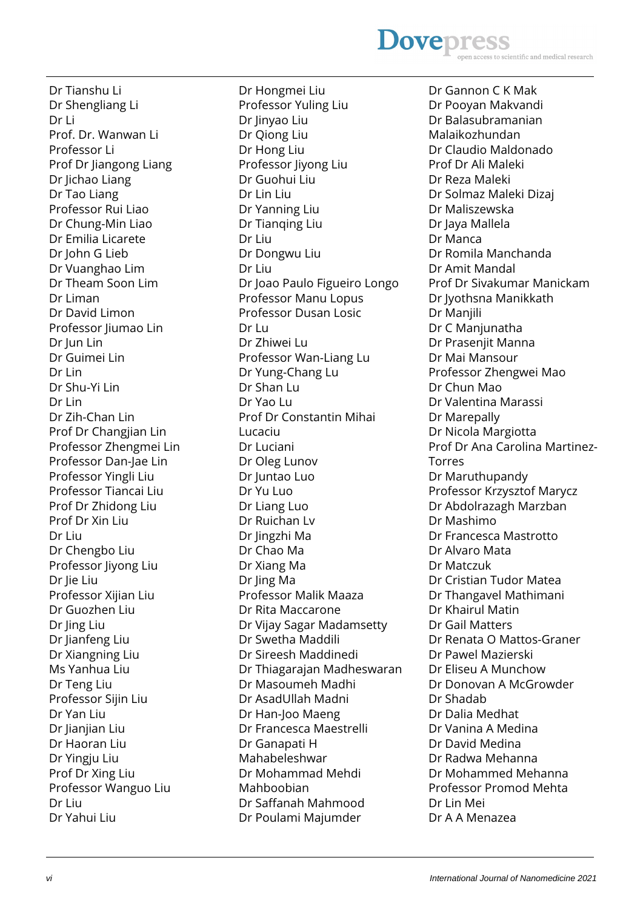**Dovepress** scientific and medical research

Dr Tianshu Li Dr Shengliang Li Dr Li Prof. Dr. Wanwan Li Professor Li Prof Dr Jiangong Liang Dr Jichao Liang Dr Tao Liang Professor Rui Liao Dr Chung-Min Liao Dr Emilia Licarete Dr John G Lieb Dr Vuanghao Lim Dr Theam Soon Lim Dr Liman Dr David Limon Professor Jiumao Lin Dr Jun Lin Dr Guimei Lin Dr Lin Dr Shu-Yi Lin Dr I in Dr Zih-Chan Lin Prof Dr Changjian Lin Professor Zhengmei Lin Professor Dan-Jae Lin Professor Yingli Liu Professor Tiancai Liu Prof Dr Zhidong Liu Prof Dr Xin Liu Dr Liu Dr Chengbo Liu Professor Jiyong Liu Dr Jie Liu Professor Xijian Liu Dr Guozhen Liu Dr Jing Liu Dr Jianfeng Liu Dr Xiangning Liu Ms Yanhua Liu Dr Teng Liu Professor Sijin Liu Dr Yan Liu Dr Jianjian Liu Dr Haoran Liu Dr Yingju Liu Prof Dr Xing Liu Professor Wanguo Liu Dr Liu Dr Yahui Liu

Professor Yuling Liu Dr Jinyao Liu Dr Qiong Liu Dr Hong Liu Professor Jiyong Liu Dr Guohui Liu Dr Lin Liu Dr Yanning Liu Dr Tianqing Liu Dr Liu Dr Dongwu Liu Dr Liu Dr Joao Paulo Figueiro Longo Professor Manu Lopus Professor Dusan Losic Dr Lu Dr Zhiwei Lu Professor Wan-Liang Lu Dr Yung-Chang Lu Dr Shan Lu Dr Yao Lu Prof Dr Constantin Mihai Lucaciu Dr Luciani Dr Oleg Lunov Dr Juntao Luo Dr Yu Luo Dr Liang Luo Dr Ruichan Lv Dr Jingzhi Ma Dr Chao Ma Dr Xiang Ma Dr Jing Ma Professor Malik Maaza Dr Rita Maccarone Dr Vijay Sagar Madamsetty Dr Swetha Maddili Dr Sireesh Maddinedi Dr Thiagarajan Madheswaran Dr Masoumeh Madhi Dr AsadUllah Madni Dr Han-Joo Maeng Dr Francesca Maestrelli Dr Ganapati H Mahabeleshwar Dr Mohammad Mehdi Mahboobian Dr Saffanah Mahmood Dr Poulami Majumder

Dr Hongmei Liu

Dr Gannon C K Mak Dr Pooyan Makvandi Dr Balasubramanian Malaikozhundan Dr Claudio Maldonado Prof Dr Ali Maleki Dr Reza Maleki Dr Solmaz Maleki Dizaj Dr Maliszewska Dr Jaya Mallela Dr Manca Dr Romila Manchanda Dr Amit Mandal Prof Dr Sivakumar Manickam Dr Jyothsna Manikkath Dr Manjili Dr C Manjunatha Dr Prasenjit Manna Dr Mai Mansour Professor Zhengwei Mao Dr Chun Mao Dr Valentina Marassi Dr Marepally Dr Nicola Margiotta Prof Dr Ana Carolina Martinez-Torres Dr Maruthupandy Professor Krzysztof Marycz Dr Abdolrazagh Marzban Dr Mashimo Dr Francesca Mastrotto Dr Alvaro Mata Dr Matczuk Dr Cristian Tudor Matea Dr Thangavel Mathimani Dr Khairul Matin Dr Gail Matters Dr Renata O Mattos-Graner Dr Pawel Mazierski Dr Eliseu A Munchow Dr Donovan A McGrowder Dr Shadab Dr Dalia Medhat Dr Vanina A Medina Dr David Medina Dr Radwa Mehanna Dr Mohammed Mehanna Professor Promod Mehta Dr Lin Mei Dr A A Menazea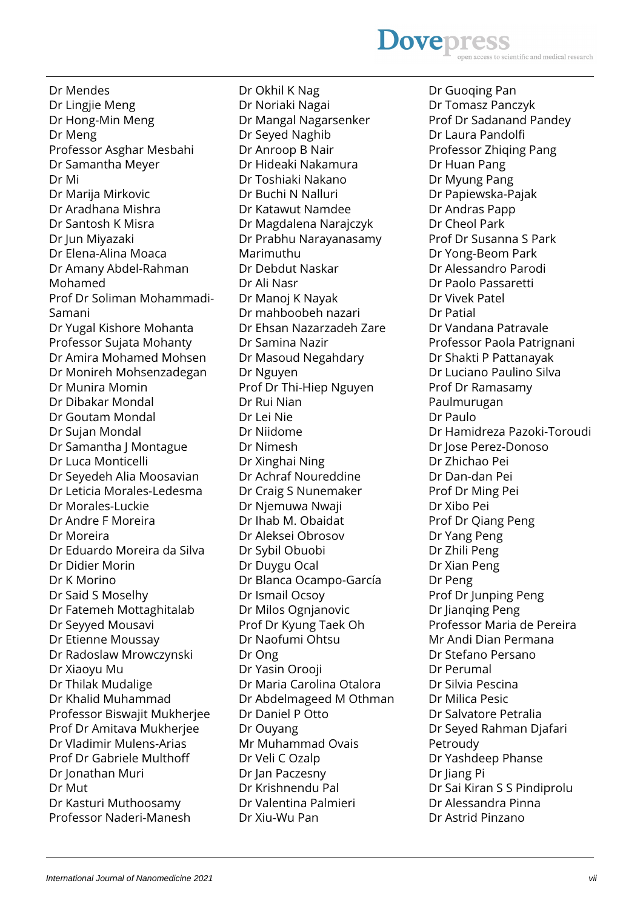## **Dovepress** scientific and medical research

Dr Mendes Dr Lingjie Meng Dr Hong-Min Meng Dr Meng Professor Asghar Mesbahi Dr Samantha Meyer Dr Mi Dr Marija Mirkovic Dr Aradhana Mishra Dr Santosh K Misra Dr Jun Miyazaki Dr Elena-Alina Moaca Dr Amany Abdel-Rahman Mohamed Prof Dr Soliman Mohammadi-Samani Dr Yugal Kishore Mohanta Professor Sujata Mohanty Dr Amira Mohamed Mohsen Dr Monireh Mohsenzadegan Dr Munira Momin Dr Dibakar Mondal Dr Goutam Mondal Dr Sujan Mondal Dr Samantha J Montague Dr Luca Monticelli Dr Seyedeh Alia Moosavian Dr Leticia Morales-Ledesma Dr Morales-Luckie Dr Andre F Moreira Dr Moreira Dr Eduardo Moreira da Silva Dr Didier Morin Dr K Morino Dr Said S Moselhy Dr Fatemeh Mottaghitalab Dr Seyyed Mousavi Dr Etienne Moussay Dr Radoslaw Mrowczynski Dr Xiaoyu Mu Dr Thilak Mudalige Dr Khalid Muhammad Professor Biswajit Mukherjee Prof Dr Amitava Mukherjee Dr Vladimir Mulens-Arias Prof Dr Gabriele Multhoff Dr Jonathan Muri Dr Mut Dr Kasturi Muthoosamy Professor Naderi-Manesh

Dr Okhil K Nag Dr Noriaki Nagai Dr Mangal Nagarsenker Dr Seyed Naghib Dr Anroop B Nair Dr Hideaki Nakamura Dr Toshiaki Nakano Dr Buchi N Nalluri Dr Katawut Namdee Dr Magdalena Narajczyk Dr Prabhu Narayanasamy Marimuthu Dr Debdut Naskar Dr Ali Nasr Dr Manoj K Nayak Dr mahboobeh nazari Dr Ehsan Nazarzadeh Zare Dr Samina Nazir Dr Masoud Negahdary Dr Nguyen Prof Dr Thi-Hiep Nguyen Dr Rui Nian Dr Lei Nie Dr Niidome Dr Nimesh Dr Xinghai Ning Dr Achraf Noureddine Dr Craig S Nunemaker Dr Njemuwa Nwaji Dr Ihab M. Obaidat Dr Aleksei Obrosov Dr Sybil Obuobi Dr Duygu Ocal Dr Blanca Ocampo-García Dr Ismail Ocsoy Dr Milos Ognjanovic Prof Dr Kyung Taek Oh Dr Naofumi Ohtsu Dr Ong Dr Yasin Orooji Dr Maria Carolina Otalora Dr Abdelmageed M Othman Dr Daniel P Otto Dr Ouyang Mr Muhammad Ovais Dr Veli C Ozalp Dr Jan Paczesny Dr Krishnendu Pal Dr Valentina Palmieri Dr Xiu-Wu Pan

Dr Guoqing Pan Dr Tomasz Panczyk Prof Dr Sadanand Pandey Dr Laura Pandolfi Professor Zhiging Pang Dr Huan Pang Dr Myung Pang Dr Papiewska-Pajak Dr Andras Papp Dr Cheol Park Prof Dr Susanna S Park Dr Yong-Beom Park Dr Alessandro Parodi Dr Paolo Passaretti Dr Vivek Patel Dr Patial Dr Vandana Patravale Professor Paola Patrignani Dr Shakti P Pattanayak Dr Luciano Paulino Silva Prof Dr Ramasamy Paulmurugan Dr Paulo Dr Hamidreza Pazoki-Toroudi Dr Jose Perez-Donoso Dr Zhichao Pei Dr Dan-dan Pei Prof Dr Ming Pei Dr Xibo Pei Prof Dr Qiang Peng Dr Yang Peng Dr Zhili Peng Dr Xian Peng Dr Peng Prof Dr Junping Peng Dr Jianqing Peng Professor Maria de Pereira Mr Andi Dian Permana Dr Stefano Persano Dr Perumal Dr Silvia Pescina Dr Milica Pesic Dr Salvatore Petralia Dr Seyed Rahman Djafari Petroudy Dr Yashdeep Phanse Dr Jiang Pi Dr Sai Kiran S S Pindiprolu Dr Alessandra Pinna Dr Astrid Pinzano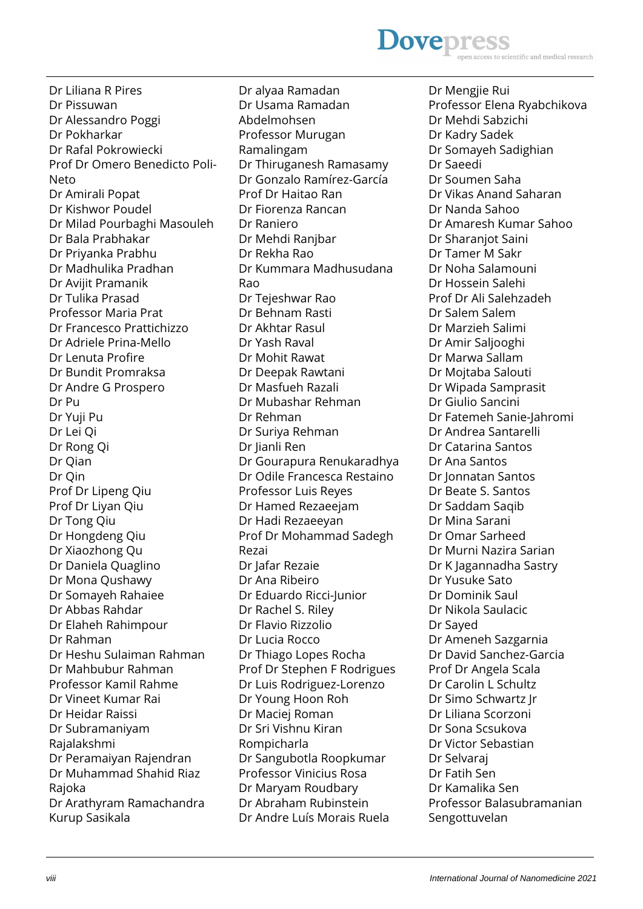# **Dovepress**

Dr Liliana R Pires Dr Pissuwan Dr Alessandro Poggi Dr Pokharkar Dr Rafal Pokrowiecki Prof Dr Omero Benedicto Poli-Neto Dr Amirali Popat Dr Kishwor Poudel Dr Milad Pourbaghi Masouleh Dr Bala Prabhakar Dr Priyanka Prabhu Dr Madhulika Pradhan Dr Avijit Pramanik Dr Tulika Prasad Professor Maria Prat Dr Francesco Prattichizzo Dr Adriele Prina-Mello Dr Lenuta Profire Dr Bundit Promraksa Dr Andre G Prospero Dr Pu Dr Yuji Pu Dr Lei Qi Dr Rong Qi Dr Qian Dr Qin Prof Dr Lipeng Qiu Prof Dr Liyan Qiu Dr Tong Qiu Dr Hongdeng Qiu Dr Xiaozhong Qu Dr Daniela Quaglino Dr Mona Qushawy Dr Somayeh Rahaiee Dr Abbas Rahdar Dr Elaheh Rahimpour Dr Rahman Dr Heshu Sulaiman Rahman Dr Mahbubur Rahman Professor Kamil Rahme Dr Vineet Kumar Rai Dr Heidar Raissi Dr Subramaniyam Rajalakshmi Dr Peramaiyan Rajendran Dr Muhammad Shahid Riaz Rajoka Dr Arathyram Ramachandra Kurup Sasikala

Dr alyaa Ramadan Dr Usama Ramadan Abdelmohsen Professor Murugan Ramalingam Dr Thiruganesh Ramasamy Dr Gonzalo Ramírez-García Prof Dr Haitao Ran Dr Fiorenza Rancan Dr Raniero Dr Mehdi Ranjbar Dr Rekha Rao Dr Kummara Madhusudana Rao Dr Tejeshwar Rao Dr Behnam Rasti Dr Akhtar Rasul Dr Yash Raval Dr Mohit Rawat Dr Deepak Rawtani Dr Masfueh Razali Dr Mubashar Rehman Dr Rehman Dr Suriya Rehman Dr Jianli Ren Dr Gourapura Renukaradhya Dr Odile Francesca Restaino Professor Luis Reyes Dr Hamed Rezaeejam Dr Hadi Rezaeeyan Prof Dr Mohammad Sadegh Rezai Dr Jafar Rezaie Dr Ana Ribeiro Dr Eduardo Ricci-Junior Dr Rachel S. Riley Dr Flavio Rizzolio Dr Lucia Rocco Dr Thiago Lopes Rocha Prof Dr Stephen F Rodrigues Dr Luis Rodriguez-Lorenzo Dr Young Hoon Roh Dr Maciej Roman Dr Sri Vishnu Kiran Rompicharla Dr Sangubotla Roopkumar Professor Vinicius Rosa Dr Maryam Roudbary Dr Abraham Rubinstein Dr Andre Luís Morais Ruela

Dr Mengjie Rui Professor Elena Ryabchikova Dr Mehdi Sabzichi Dr Kadry Sadek Dr Somayeh Sadighian Dr Saeedi Dr Soumen Saha Dr Vikas Anand Saharan Dr Nanda Sahoo Dr Amaresh Kumar Sahoo Dr Sharanjot Saini Dr Tamer M Sakr Dr Noha Salamouni Dr Hossein Salehi Prof Dr Ali Salehzadeh Dr Salem Salem Dr Marzieh Salimi Dr Amir Saljooghi Dr Marwa Sallam Dr Mojtaba Salouti Dr Wipada Samprasit Dr Giulio Sancini Dr Fatemeh Sanie-Jahromi Dr Andrea Santarelli Dr Catarina Santos Dr Ana Santos Dr Jonnatan Santos Dr Beate S. Santos Dr Saddam Saqib Dr Mina Sarani Dr Omar Sarheed Dr Murni Nazira Sarian Dr K Jagannadha Sastry Dr Yusuke Sato Dr Dominik Saul Dr Nikola Saulacic Dr Sayed Dr Ameneh Sazgarnia Dr David Sanchez-Garcia Prof Dr Angela Scala Dr Carolin L Schultz Dr Simo Schwartz Jr Dr Liliana Scorzoni Dr Sona Scsukova Dr Victor Sebastian Dr Selvaraj Dr Fatih Sen Dr Kamalika Sen Professor Balasubramanian Sengottuvelan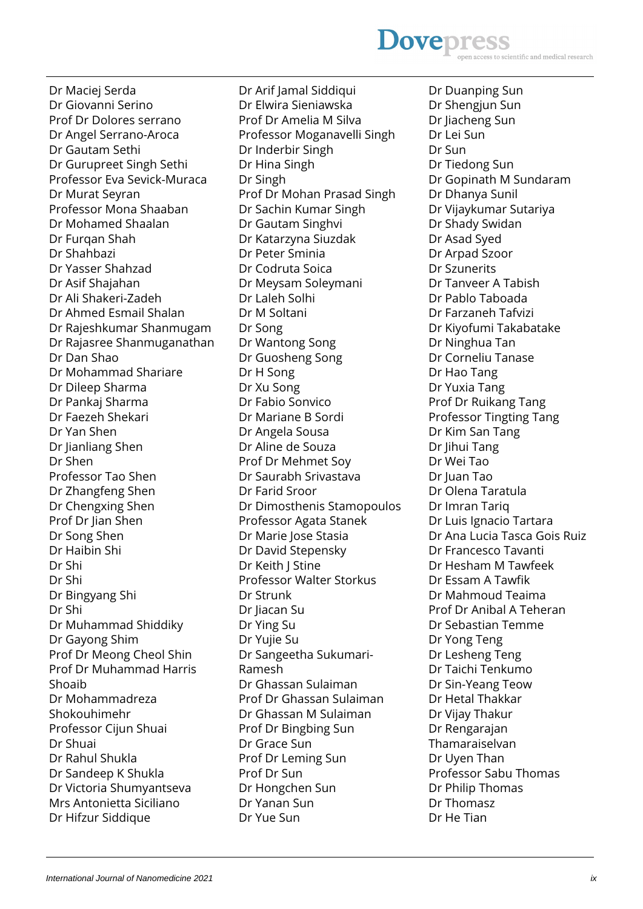Dr Maciej Serda Dr Giovanni Serino Prof Dr Dolores serrano Dr Angel Serrano-Aroca Dr Gautam Sethi Dr Gurupreet Singh Sethi Professor Eva Sevick-Muraca Dr Murat Seyran Professor Mona Shaaban Dr Mohamed Shaalan Dr Furgan Shah Dr Shahbazi Dr Yasser Shahzad Dr Asif Shajahan Dr Ali Shakeri-Zadeh Dr Ahmed Esmail Shalan Dr Rajeshkumar Shanmugam Dr Rajasree Shanmuganathan Dr Dan Shao Dr Mohammad Shariare Dr Dileep Sharma Dr Pankaj Sharma Dr Faezeh Shekari Dr Yan Shen Dr Jianliang Shen Dr Shen Professor Tao Shen Dr Zhangfeng Shen Dr Chengxing Shen Prof Dr Jian Shen Dr Song Shen Dr Haibin Shi Dr Shi Dr Shi Dr Bingyang Shi Dr Shi Dr Muhammad Shiddiky Dr Gayong Shim Prof Dr Meong Cheol Shin Prof Dr Muhammad Harris Shoaib Dr Mohammadreza Shokouhimehr Professor Cijun Shuai Dr Shuai Dr Rahul Shukla Dr Sandeep K Shukla Dr Victoria Shumyantseva Mrs Antonietta Siciliano Dr Hifzur Siddique

Dr Arif Jamal Siddiqui Dr Elwira Sieniawska Prof Dr Amelia M Silva Professor Moganavelli Singh Dr Inderbir Singh Dr Hina Singh Dr Singh Prof Dr Mohan Prasad Singh Dr Sachin Kumar Singh Dr Gautam Singhvi Dr Katarzyna Siuzdak Dr Peter Sminia Dr Codruta Soica Dr Meysam Soleymani Dr Laleh Solhi Dr M Soltani Dr Song Dr Wantong Song Dr Guosheng Song Dr H Song Dr Xu Song Dr Fabio Sonvico Dr Mariane B Sordi Dr Angela Sousa Dr Aline de Souza Prof Dr Mehmet Soy Dr Saurabh Srivastava Dr Farid Sroor Dr Dimosthenis Stamopoulos Professor Agata Stanek Dr Marie Jose Stasia Dr David Stepensky Dr Keith J Stine Professor Walter Storkus Dr Strunk Dr Jiacan Su Dr Ying Su Dr Yujie Su Dr Sangeetha Sukumari-Ramesh Dr Ghassan Sulaiman Prof Dr Ghassan Sulaiman Dr Ghassan M Sulaiman Prof Dr Bingbing Sun Dr Grace Sun Prof Dr Leming Sun Prof Dr Sun Dr Hongchen Sun Dr Yanan Sun Dr Yue Sun

Dr Duanping Sun Dr Shengjun Sun Dr Jiacheng Sun Dr Lei Sun Dr Sun Dr Tiedong Sun Dr Gopinath M Sundaram Dr Dhanya Sunil Dr Vijaykumar Sutariya Dr Shady Swidan Dr Asad Syed Dr Arpad Szoor Dr Szunerits Dr Tanveer A Tabish Dr Pablo Taboada Dr Farzaneh Tafvizi Dr Kiyofumi Takabatake Dr Ninghua Tan Dr Corneliu Tanase Dr Hao Tang Dr Yuxia Tang Prof Dr Ruikang Tang Professor Tingting Tang Dr Kim San Tang Dr Jihui Tang Dr Wei Tao Dr Juan Tao Dr Olena Taratula Dr Imran Tariq Dr Luis Ignacio Tartara Dr Ana Lucia Tasca Gois Ruiz Dr Francesco Tavanti Dr Hesham M Tawfeek Dr Essam A Tawfik Dr Mahmoud Teaima Prof Dr Anibal A Teheran Dr Sebastian Temme Dr Yong Teng Dr Lesheng Teng Dr Taichi Tenkumo Dr Sin-Yeang Teow Dr Hetal Thakkar Dr Vijay Thakur Dr Rengarajan Thamaraiselvan Dr Uyen Than Professor Sabu Thomas Dr Philip Thomas Dr Thomasz Dr He Tian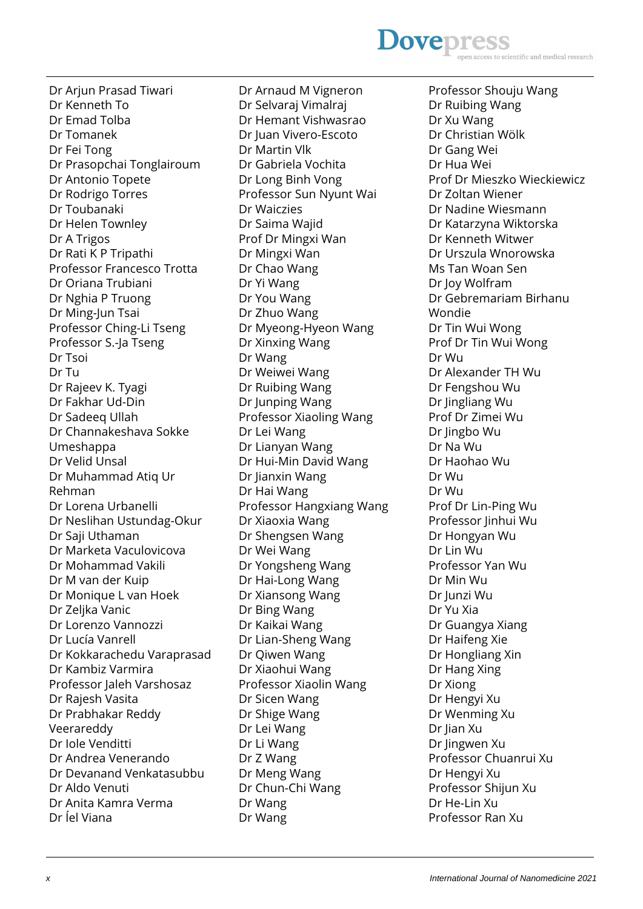# **Dovepres** cientific and medical research

Dr Arjun Prasad Tiwari Dr Kenneth To Dr Emad Tolba Dr Tomanek Dr Fei Tong Dr Prasopchai Tonglairoum Dr Antonio Topete Dr Rodrigo Torres Dr Toubanaki Dr Helen Townley Dr A Trigos Dr Rati K P Tripathi Professor Francesco Trotta Dr Oriana Trubiani Dr Nghia P Truong Dr Ming-Jun Tsai Professor Ching-Li Tseng Professor S.-Ja Tseng Dr Tsoi Dr Tu Dr Rajeev K. Tyagi Dr Fakhar Ud-Din Dr Sadeeq Ullah Dr Channakeshava Sokke Umeshappa Dr Velid Unsal Dr Muhammad Atiq Ur Rehman Dr Lorena Urbanelli Dr Neslihan Ustundag-Okur Dr Saji Uthaman Dr Marketa Vaculovicova Dr Mohammad Vakili Dr M van der Kuip Dr Monique L van Hoek Dr Zeljka Vanic Dr Lorenzo Vannozzi Dr Lucía Vanrell Dr Kokkarachedu Varaprasad Dr Kambiz Varmira Professor Jaleh Varshosaz Dr Rajesh Vasita Dr Prabhakar Reddy Veerareddy Dr Iole Venditti Dr Andrea Venerando Dr Devanand Venkatasubbu Dr Aldo Venuti Dr Anita Kamra Verma Dr Íel Viana

Dr Arnaud M Vigneron Dr Selvaraj Vimalraj Dr Hemant Vishwasrao Dr Juan Vivero-Escoto Dr Martin Vlk Dr Gabriela Vochita Dr Long Binh Vong Professor Sun Nyunt Wai Dr Waiczies Dr Saima Wajid Prof Dr Mingxi Wan Dr Mingxi Wan Dr Chao Wang Dr Yi Wang Dr You Wang Dr Zhuo Wang Dr Myeong-Hyeon Wang Dr Xinxing Wang Dr Wang Dr Weiwei Wang Dr Ruibing Wang Dr Junping Wang Professor Xiaoling Wang Dr Lei Wang Dr Lianyan Wang Dr Hui-Min David Wang Dr Jianxin Wang Dr Hai Wang Professor Hangxiang Wang Dr Xiaoxia Wang Dr Shengsen Wang Dr Wei Wang Dr Yongsheng Wang Dr Hai-Long Wang Dr Xiansong Wang Dr Bing Wang Dr Kaikai Wang Dr Lian-Sheng Wang Dr Qiwen Wang Dr Xiaohui Wang Professor Xiaolin Wang Dr Sicen Wang Dr Shige Wang Dr Lei Wang Dr Li Wang Dr Z Wang Dr Meng Wang Dr Chun-Chi Wang Dr Wang Dr Wang

Professor Shouju Wang Dr Ruibing Wang Dr Xu Wang Dr Christian Wölk Dr Gang Wei Dr Hua Wei Prof Dr Mieszko Wieckiewicz Dr Zoltan Wiener Dr Nadine Wiesmann Dr Katarzyna Wiktorska Dr Kenneth Witwer Dr Urszula Wnorowska Ms Tan Woan Sen Dr Joy Wolfram Dr Gebremariam Birhanu Wondie Dr Tin Wui Wong Prof Dr Tin Wui Wong Dr Wu Dr Alexander TH Wu Dr Fengshou Wu Dr Jingliang Wu Prof Dr Zimei Wu Dr Jingbo Wu Dr Na Wu Dr Haohao Wu Dr Wu Dr Wu Prof Dr Lin-Ping Wu Professor Jinhui Wu Dr Hongyan Wu Dr Lin Wu Professor Yan Wu Dr Min Wu Dr Junzi Wu Dr Yu Xia Dr Guangya Xiang Dr Haifeng Xie Dr Hongliang Xin Dr Hang Xing Dr Xiong Dr Hengyi Xu Dr Wenming Xu Dr Jian Xu Dr Jingwen Xu Professor Chuanrui Xu Dr Hengyi Xu Professor Shijun Xu Dr He-Lin Xu Professor Ran Xu